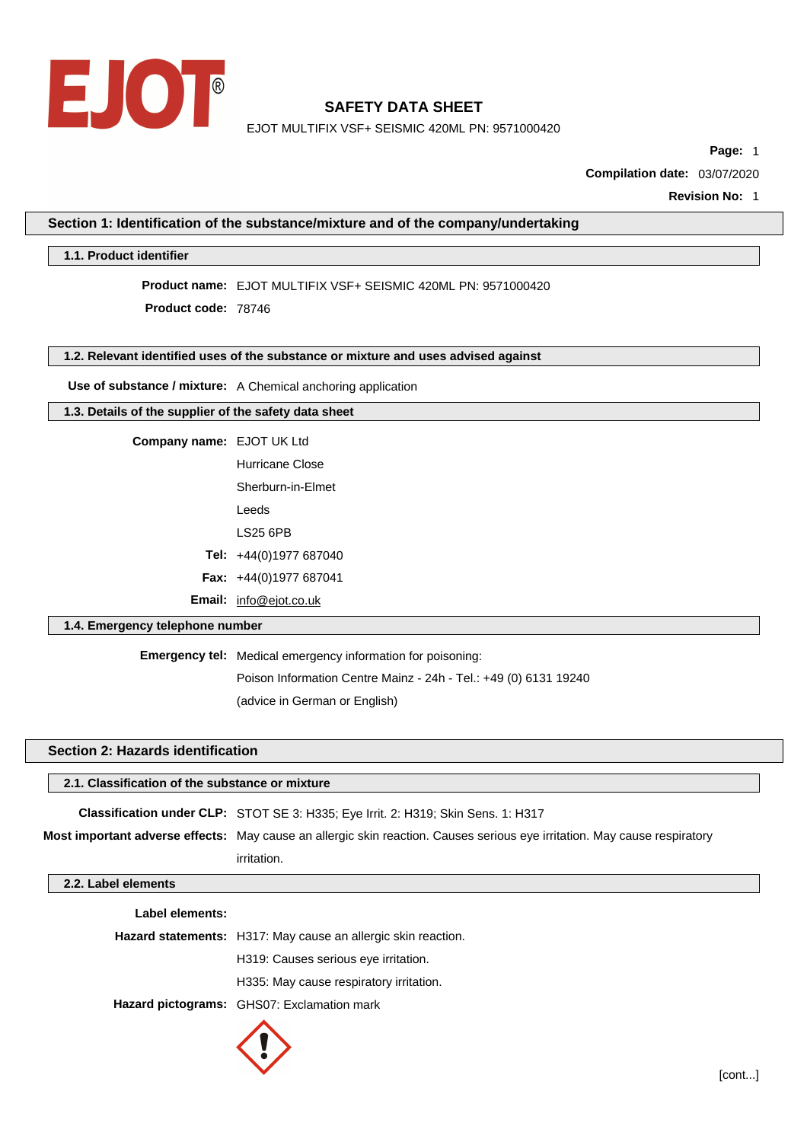

EJOT MULTIFIX VSF+ SEISMIC 420ML PN: 9571000420

**Page:** 1

**Compilation date:** 03/07/2020

**Revision No:** 1

**Section 1: Identification of the substance/mixture and of the company/undertaking**

## **1.1. Product identifier**

**Product name:** EJOT MULTIFIX VSF+ SEISMIC 420ML PN: 9571000420

**Product code:** 78746

#### **1.2. Relevant identified uses of the substance or mixture and uses advised against**

**Use of substance / mixture:** A Chemical anchoring application

# **1.3. Details of the supplier of the safety data sheet**

**Company name:** EJOT UK Ltd

| Hurricane Close        |  |  |  |
|------------------------|--|--|--|
| Sherburn-in-Flmet      |  |  |  |
| Leeds                  |  |  |  |
| LS25 6PB               |  |  |  |
| Tel: +44(0)1977 687040 |  |  |  |
| Fax: +44(0)1977 687041 |  |  |  |

**Email:** [info@ejot.co.uk](mailto:info@ejot.co.uk)

# **1.4. Emergency telephone number**

**Emergency tel:** Medical emergency information for poisoning: Poison Information Centre Mainz - 24h - Tel.: +49 (0) 6131 19240 (advice in German or English)

# **Section 2: Hazards identification**

| 2.1. Classification of the substance or mixture                                                                           |             |  |  |  |  |
|---------------------------------------------------------------------------------------------------------------------------|-------------|--|--|--|--|
| <b>Classification under CLP:</b> STOT SE 3: H335; Eye Irrit. 2: H319; Skin Sens. 1: H317                                  |             |  |  |  |  |
| Most important adverse effects: May cause an allergic skin reaction. Causes serious eye irritation. May cause respiratory |             |  |  |  |  |
|                                                                                                                           | irritation. |  |  |  |  |
| 2.2. Label elements                                                                                                       |             |  |  |  |  |

| Label elements: |                                                               |
|-----------------|---------------------------------------------------------------|
|                 | Hazard statements: H317: May cause an allergic skin reaction. |
|                 | H319: Causes serious eye irritation.                          |
|                 | H335: May cause respiratory irritation.                       |
|                 | Hazard pictograms: GHS07: Exclamation mark                    |
|                 |                                                               |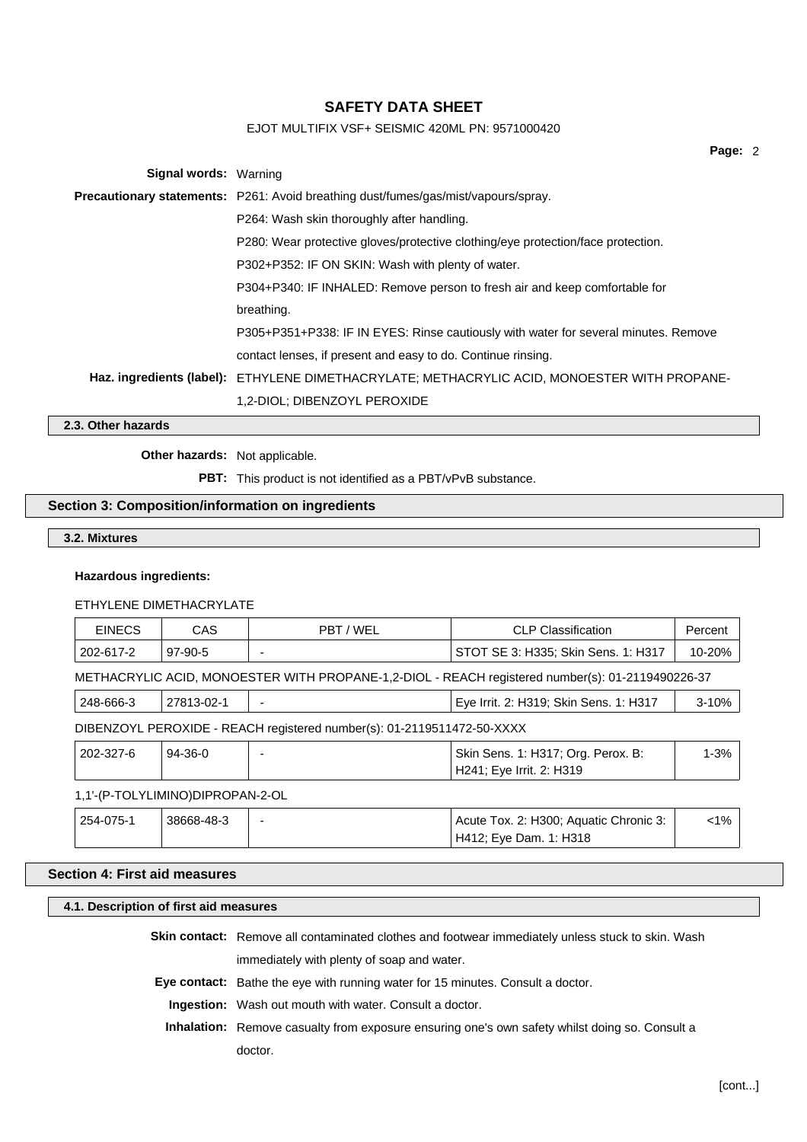# EJOT MULTIFIX VSF+ SEISMIC 420ML PN: 9571000420

|                              |                                                                                              | Page: 2 |  |
|------------------------------|----------------------------------------------------------------------------------------------|---------|--|
| <b>Signal words: Warning</b> |                                                                                              |         |  |
|                              | <b>Precautionary statements:</b> P261: Avoid breathing dust/fumes/gas/mist/vapours/spray.    |         |  |
|                              | P264: Wash skin thoroughly after handling.                                                   |         |  |
|                              | P280: Wear protective gloves/protective clothing/eye protection/face protection.             |         |  |
|                              | P302+P352: IF ON SKIN: Wash with plenty of water.                                            |         |  |
|                              | P304+P340: IF INHALED: Remove person to fresh air and keep comfortable for                   |         |  |
|                              | breathing.                                                                                   |         |  |
|                              | P305+P351+P338: IF IN EYES: Rinse cautiously with water for several minutes. Remove          |         |  |
|                              | contact lenses, if present and easy to do. Continue rinsing.                                 |         |  |
|                              | Haz. ingredients (label): ETHYLENE DIMETHACRYLATE; METHACRYLIC ACID, MONOESTER WITH PROPANE- |         |  |
|                              | 1,2-DIOL; DIBENZOYL PEROXIDE                                                                 |         |  |
| 2.3. Other hazards           |                                                                                              |         |  |

**Other hazards:** Not applicable.

**PBT:** This product is not identified as a PBT/vPvB substance.

## **Section 3: Composition/information on ingredients**

**3.2. Mixtures**

#### **Hazardous ingredients:**

#### ETHYLENE DIMETHACRYLATE

| <b>EINECS</b>                                                                                    | CAS        | PBT / WEL                                                              | <b>CLP Classification</b>                                      | Percent   |  |
|--------------------------------------------------------------------------------------------------|------------|------------------------------------------------------------------------|----------------------------------------------------------------|-----------|--|
| 202-617-2                                                                                        | $97-90-5$  |                                                                        | STOT SE 3: H335; Skin Sens. 1: H317                            | 10-20%    |  |
| METHACRYLIC ACID, MONOESTER WITH PROPANE-1,2-DIOL - REACH registered number(s): 01-2119490226-37 |            |                                                                        |                                                                |           |  |
| 248-666-3                                                                                        | 27813-02-1 |                                                                        | Eye Irrit. 2: H319; Skin Sens. 1: H317                         | $3 - 10%$ |  |
|                                                                                                  |            | DIBENZOYL PEROXIDE - REACH registered number(s): 01-2119511472-50-XXXX |                                                                |           |  |
| 202-327-6                                                                                        | $94-36-0$  |                                                                        | Skin Sens. 1: H317; Org. Perox. B:<br>H241; Eye Irrit. 2: H319 | $1 - 3%$  |  |

### 1,1'-(P-TOLYLIMINO)DIPROPAN-2-OL

| 254-075-1 | 38668-48-3 | Acute Tox. 2: H300; Aquatic Chronic 3: | :1% |
|-----------|------------|----------------------------------------|-----|
|           |            | H412; Eye Dam. 1: H318                 |     |

# **Section 4: First aid measures**

### **4.1. Description of first aid measures**

**Skin contact:** Remove all contaminated clothes and footwear immediately unless stuck to skin. Wash immediately with plenty of soap and water.

**Eye contact:** Bathe the eye with running water for 15 minutes. Consult a doctor.

**Ingestion:** Wash out mouth with water. Consult a doctor.

**Inhalation:** Remove casualty from exposure ensuring one's own safety whilst doing so. Consult a doctor.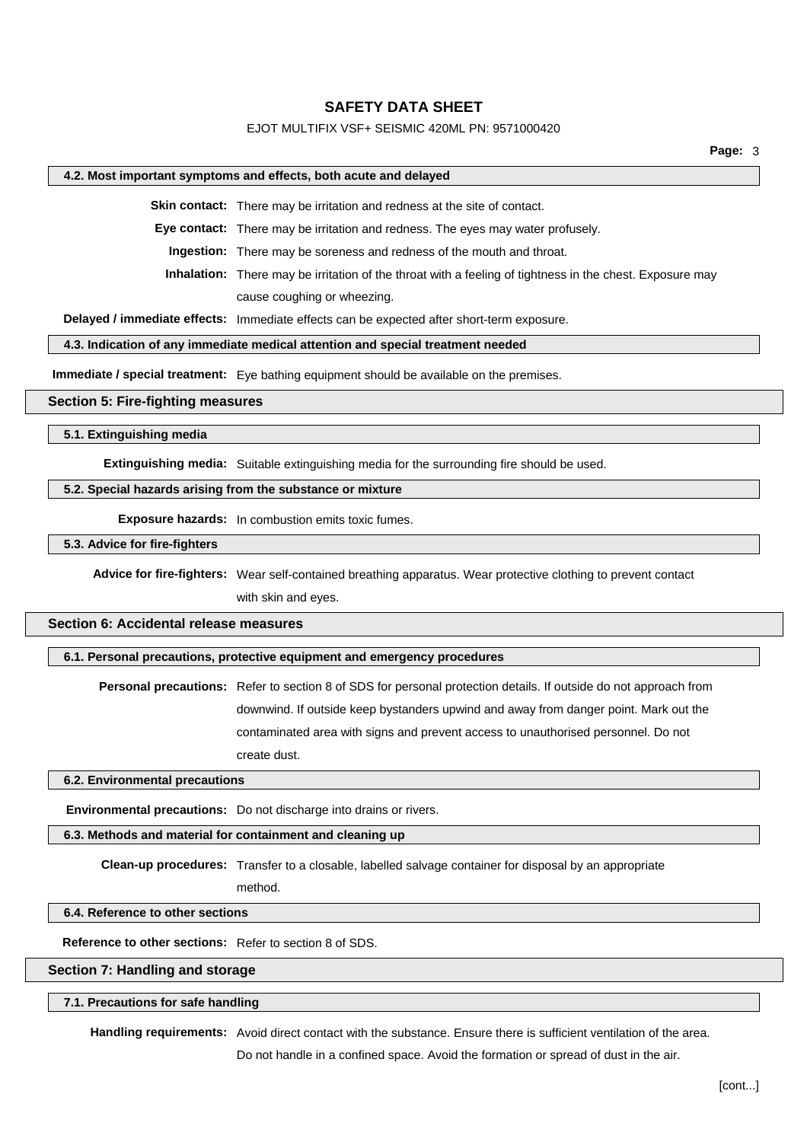### EJOT MULTIFIX VSF+ SEISMIC 420ML PN: 9571000420

#### **4.2. Most important symptoms and effects, both acute and delayed**

**Skin contact:** There may be irritation and redness at the site of contact.

**Eye contact:** There may be irritation and redness. The eyes may water profusely.

**Ingestion:** There may be soreness and redness of the mouth and throat.

**Inhalation:** There may be irritation of the throat with a feeling of tightness in the chest. Exposure may cause coughing or wheezing.

**Delayed / immediate effects:** Immediate effects can be expected after short-term exposure.

#### **4.3. Indication of any immediate medical attention and special treatment needed**

**Immediate / special treatment:** Eye bathing equipment should be available on the premises.

#### **Section 5: Fire-fighting measures**

**5.1. Extinguishing media**

**Extinguishing media:** Suitable extinguishing media for the surrounding fire should be used.

#### **5.2. Special hazards arising from the substance or mixture**

**Exposure hazards:** In combustion emits toxic fumes.

**5.3. Advice for fire-fighters**

**Advice for fire-fighters:** Wear self-contained breathing apparatus. Wear protective clothing to prevent contact

with skin and eyes.

# **Section 6: Accidental release measures**

**6.1. Personal precautions, protective equipment and emergency procedures**

**Personal precautions:** Refer to section 8 of SDS for personal protection details. If outside do not approach from downwind. If outside keep bystanders upwind and away from danger point. Mark out the contaminated area with signs and prevent access to unauthorised personnel. Do not create dust.

#### **6.2. Environmental precautions**

**Environmental precautions:** Do not discharge into drains or rivers.

#### **6.3. Methods and material for containment and cleaning up**

**Clean-up procedures:** Transfer to a closable, labelled salvage container for disposal by an appropriate

method.

#### **6.4. Reference to other sections**

**Reference to other sections:** Refer to section 8 of SDS.

#### **Section 7: Handling and storage**

## **7.1. Precautions for safe handling**

**Handling requirements:** Avoid direct contact with the substance. Ensure there is sufficient ventilation of the area.

Do not handle in a confined space. Avoid the formation or spread of dust in the air.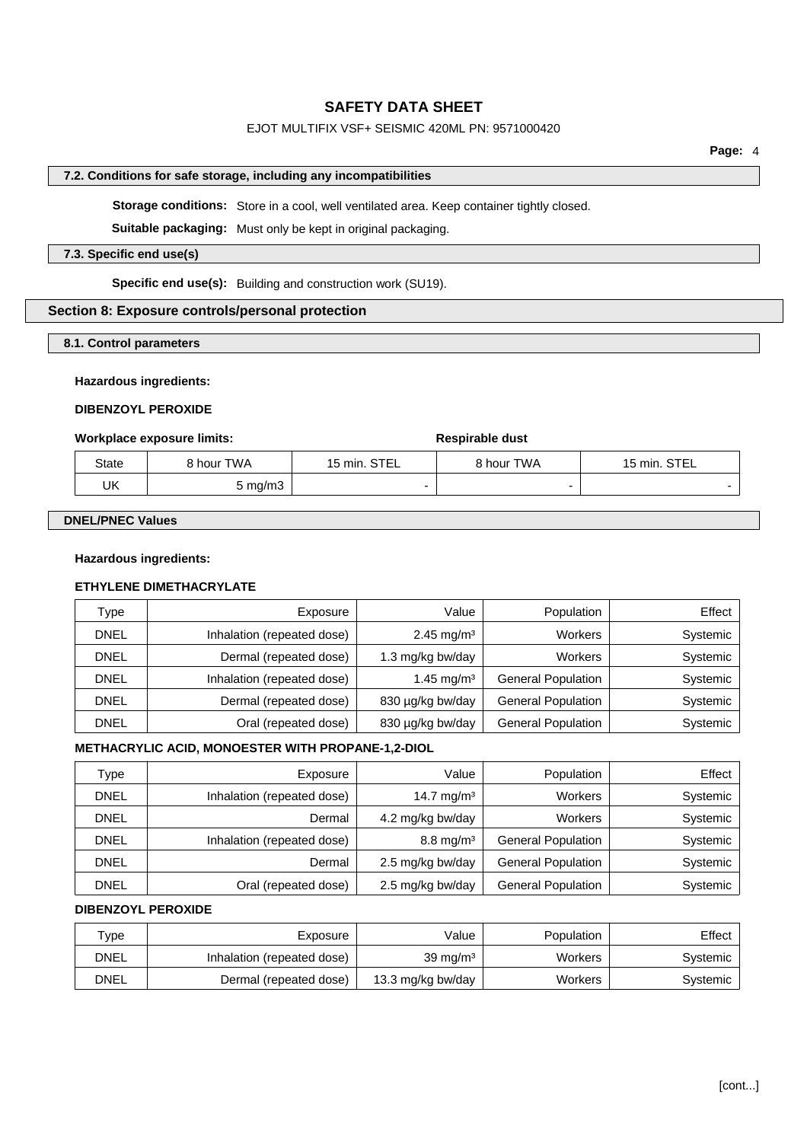# EJOT MULTIFIX VSF+ SEISMIC 420ML PN: 9571000420

# **7.2. Conditions for safe storage, including any incompatibilities**

**Storage conditions:** Store in a cool, well ventilated area. Keep container tightly closed.

**Suitable packaging:** Must only be kept in original packaging.

## **7.3. Specific end use(s)**

**Specific end use(s):** Building and construction work (SU19).

# **Section 8: Exposure controls/personal protection**

## **8.1. Control parameters**

## **Hazardous ingredients:**

# **DIBENZOYL PEROXIDE**

## **Workplace** exposure limits: **Respirable** dust

| State | 8 hour TWA       | 15 min. STEL | 8 hour TWA | 15 min. STEL |
|-------|------------------|--------------|------------|--------------|
| UK    | $5 \text{ mg/m}$ |              |            |              |

## **DNEL/PNEC Values**

## **Hazardous ingredients:**

# **ETHYLENE DIMETHACRYLATE**

| Type        | Exposure                   | Value                  | Population                | $E$ ffect $ $ |
|-------------|----------------------------|------------------------|---------------------------|---------------|
| <b>DNEL</b> | Inhalation (repeated dose) | $2.45 \text{ mg/m}^3$  | Workers                   | Systemic      |
| DNEL        | Dermal (repeated dose)     | 1.3 mg/kg bw/day       | Workers                   | Systemic      |
| <b>DNEL</b> | Inhalation (repeated dose) | 1.45 mg/m <sup>3</sup> | <b>General Population</b> | Systemic      |
| <b>DNEL</b> | Dermal (repeated dose)     | 830 µg/kg bw/day       | <b>General Population</b> | Systemic      |
| DNEL        | Oral (repeated dose)       | 830 µg/kg bw/day       | <b>General Population</b> | Systemic      |

# **METHACRYLIC ACID, MONOESTER WITH PROPANE-1,2-DIOL**

| Type        | Exposure                   | Value                   | Population                | Effect   |
|-------------|----------------------------|-------------------------|---------------------------|----------|
| <b>DNEL</b> | Inhalation (repeated dose) | 14.7 mg/m <sup>3</sup>  | <b>Workers</b>            | Systemic |
| <b>DNEL</b> | Dermal                     | 4.2 mg/kg bw/day        | <b>Workers</b>            | Systemic |
| <b>DNEL</b> | Inhalation (repeated dose) | $8.8 \,\mathrm{mg/m^3}$ | <b>General Population</b> | Systemic |
| <b>DNEL</b> | Dermal                     | 2.5 mg/kg bw/day        | <b>General Population</b> | Systemic |
| <b>DNEL</b> | Oral (repeated dose)       | 2.5 mg/kg bw/day        | <b>General Population</b> | Systemic |

# **DIBENZOYL PEROXIDE**

| $\tau_\mathsf{VDE}$ | Exposure                   | Value               | Population | Effect   |
|---------------------|----------------------------|---------------------|------------|----------|
| DNEL                | Inhalation (repeated dose) | $39 \text{ mg/m}^3$ | Workers    | Systemic |
| DNEL                | Dermal (repeated dose)     | 13.3 mg/kg bw/day   | Workers    | Svstemic |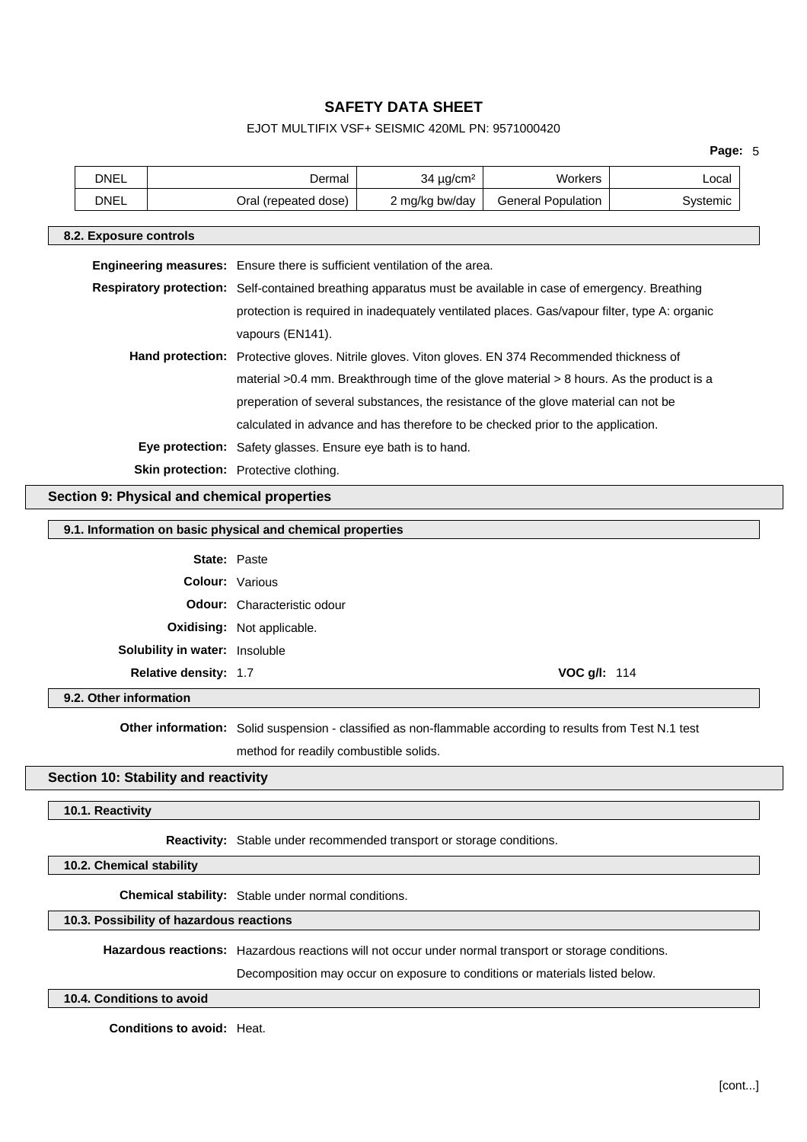# EJOT MULTIFIX VSF+ SEISMIC 420ML PN: 9571000420

|                                                                                                              |                                                                                                                                                |                 |                                                                                                           | Page: 5  |  |
|--------------------------------------------------------------------------------------------------------------|------------------------------------------------------------------------------------------------------------------------------------------------|-----------------|-----------------------------------------------------------------------------------------------------------|----------|--|
| <b>DNEL</b>                                                                                                  | Dermal                                                                                                                                         | $34 \mu g/cm^2$ | Workers                                                                                                   | Local    |  |
| <b>DNEL</b>                                                                                                  | Oral (repeated dose)                                                                                                                           | 2 mg/kg bw/day  | <b>General Population</b>                                                                                 | Systemic |  |
| 8.2. Exposure controls                                                                                       |                                                                                                                                                |                 |                                                                                                           |          |  |
| <b>Engineering measures:</b> Ensure there is sufficient ventilation of the area.                             |                                                                                                                                                |                 |                                                                                                           |          |  |
| Respiratory protection: Self-contained breathing apparatus must be available in case of emergency. Breathing |                                                                                                                                                |                 |                                                                                                           |          |  |
|                                                                                                              |                                                                                                                                                |                 | protection is required in inadequately ventilated places. Gas/vapour filter, type A: organic              |          |  |
|                                                                                                              | vapours (EN141).                                                                                                                               |                 |                                                                                                           |          |  |
|                                                                                                              |                                                                                                                                                |                 | Hand protection: Protective gloves. Nitrile gloves. Viton gloves. EN 374 Recommended thickness of         |          |  |
|                                                                                                              |                                                                                                                                                |                 | material >0.4 mm. Breakthrough time of the glove material > 8 hours. As the product is a                  |          |  |
|                                                                                                              |                                                                                                                                                |                 | preperation of several substances, the resistance of the glove material can not be                        |          |  |
|                                                                                                              |                                                                                                                                                |                 |                                                                                                           |          |  |
|                                                                                                              | calculated in advance and has therefore to be checked prior to the application.<br>Eye protection: Safety glasses. Ensure eye bath is to hand. |                 |                                                                                                           |          |  |
|                                                                                                              |                                                                                                                                                |                 |                                                                                                           |          |  |
|                                                                                                              | Skin protection: Protective clothing.                                                                                                          |                 |                                                                                                           |          |  |
| Section 9: Physical and chemical properties                                                                  |                                                                                                                                                |                 |                                                                                                           |          |  |
| 9.1. Information on basic physical and chemical properties                                                   |                                                                                                                                                |                 |                                                                                                           |          |  |
|                                                                                                              | <b>State: Paste</b>                                                                                                                            |                 |                                                                                                           |          |  |
|                                                                                                              | <b>Colour: Various</b>                                                                                                                         |                 |                                                                                                           |          |  |
|                                                                                                              | Odour: Characteristic odour                                                                                                                    |                 |                                                                                                           |          |  |
|                                                                                                              | Oxidising: Not applicable.                                                                                                                     |                 |                                                                                                           |          |  |
| Solubility in water: Insoluble                                                                               |                                                                                                                                                |                 |                                                                                                           |          |  |
| Relative density: 1.7                                                                                        |                                                                                                                                                |                 | VOC g/l: 114                                                                                              |          |  |
| 9.2. Other information                                                                                       |                                                                                                                                                |                 |                                                                                                           |          |  |
|                                                                                                              |                                                                                                                                                |                 | Other information: Solid suspension - classified as non-flammable according to results from Test N.1 test |          |  |
|                                                                                                              | method for readily combustible solids.                                                                                                         |                 |                                                                                                           |          |  |
| Section 10: Stability and reactivity                                                                         |                                                                                                                                                |                 |                                                                                                           |          |  |
| 10.1. Reactivity                                                                                             |                                                                                                                                                |                 |                                                                                                           |          |  |
|                                                                                                              |                                                                                                                                                |                 |                                                                                                           |          |  |
|                                                                                                              | Reactivity: Stable under recommended transport or storage conditions.                                                                          |                 |                                                                                                           |          |  |
| 10.2. Chemical stability                                                                                     |                                                                                                                                                |                 |                                                                                                           |          |  |
|                                                                                                              | Chemical stability: Stable under normal conditions.                                                                                            |                 |                                                                                                           |          |  |
| 10.3. Possibility of hazardous reactions                                                                     |                                                                                                                                                |                 |                                                                                                           |          |  |
|                                                                                                              |                                                                                                                                                |                 | Hazardous reactions: Hazardous reactions will not occur under normal transport or storage conditions.     |          |  |
|                                                                                                              |                                                                                                                                                |                 | Decomposition may occur on exposure to conditions or materials listed below.                              |          |  |

**10.4. Conditions to avoid**

**Conditions to avoid:** Heat.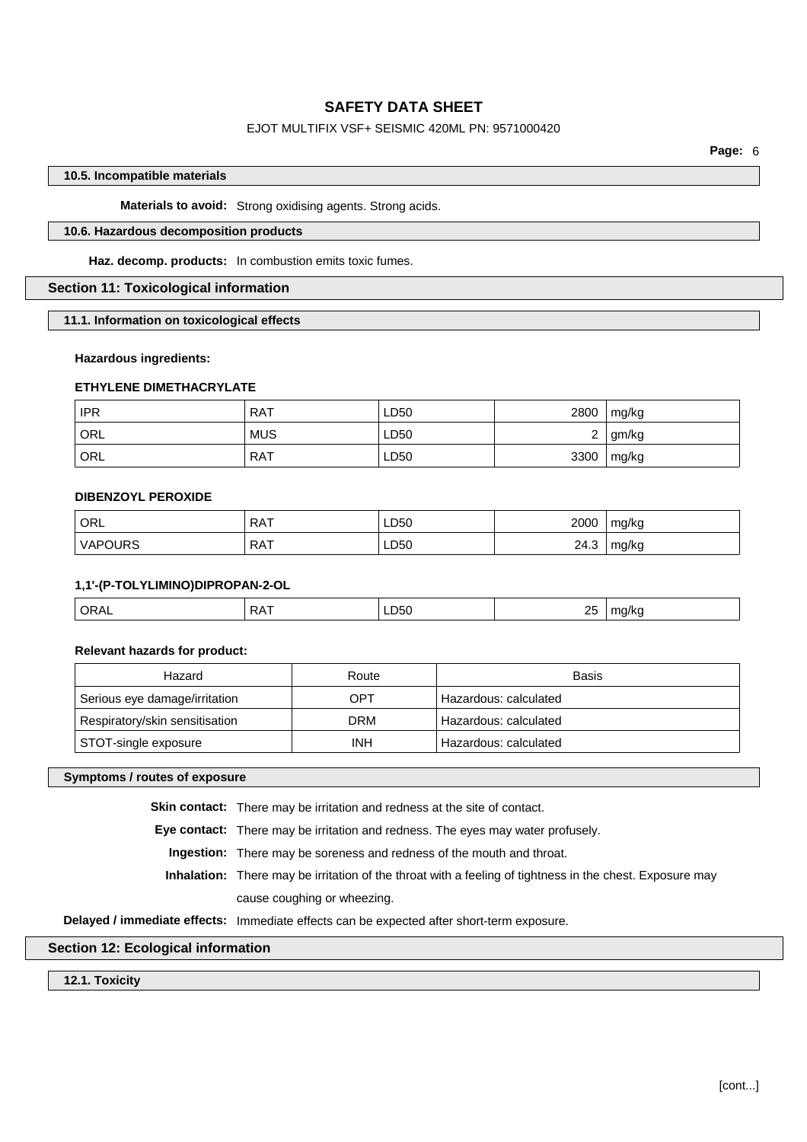# EJOT MULTIFIX VSF+ SEISMIC 420ML PN: 9571000420

**Page:** 6

## **10.5. Incompatible materials**

**Materials to avoid:** Strong oxidising agents. Strong acids.

# **10.6. Hazardous decomposition products**

**Haz. decomp. products:** In combustion emits toxic fumes.

# **Section 11: Toxicological information**

**11.1. Information on toxicological effects**

### **Hazardous ingredients:**

# **ETHYLENE DIMETHACRYLATE**

| <b>IPR</b> | <b>RAT</b> | ∟D50 | 2800   | mg/kg |
|------------|------------|------|--------|-------|
| ORL        | <b>MUS</b> | LD50 | ◠<br>_ | gm/kg |
| ORL        | <b>RAT</b> | ∟D50 | 3300   | mg/kg |

## **DIBENZOYL PEROXIDE**

| ORL            | <b>RAT</b> | LD50 | 2000 | mg/kg |
|----------------|------------|------|------|-------|
| <b>VAPOURS</b> | <b>RAT</b> | LD50 | 24.3 | mg/kg |

## **1,1'-(P-TOLYLIMINO)DIPROPAN-2-OL**

| ORAL | $\lambda$ $\lambda$ $\tau$<br>$\mathbf{v}$ | LD <sub>50</sub><br>$ -$ | 2F<br>Σv | <br>`` |
|------|--------------------------------------------|--------------------------|----------|--------|
|      |                                            |                          |          |        |

#### **Relevant hazards for product:**

| Hazard                         | Route | <b>Basis</b>          |
|--------------------------------|-------|-----------------------|
| Serious eye damage/irritation  | OPT   | Hazardous: calculated |
| Respiratory/skin sensitisation | DRM   | Hazardous: calculated |
| STOT-single exposure           | INH   | Hazardous: calculated |

## **Symptoms / routes of exposure**

**Skin contact:** There may be irritation and redness at the site of contact.

**Eye contact:** There may be irritation and redness. The eyes may water profusely.

**Ingestion:** There may be soreness and redness of the mouth and throat.

**Inhalation:** There may be irritation of the throat with a feeling of tightness in the chest. Exposure may cause coughing or wheezing.

**Delayed / immediate effects:** Immediate effects can be expected after short-term exposure.

## **Section 12: Ecological information**

**12.1. Toxicity**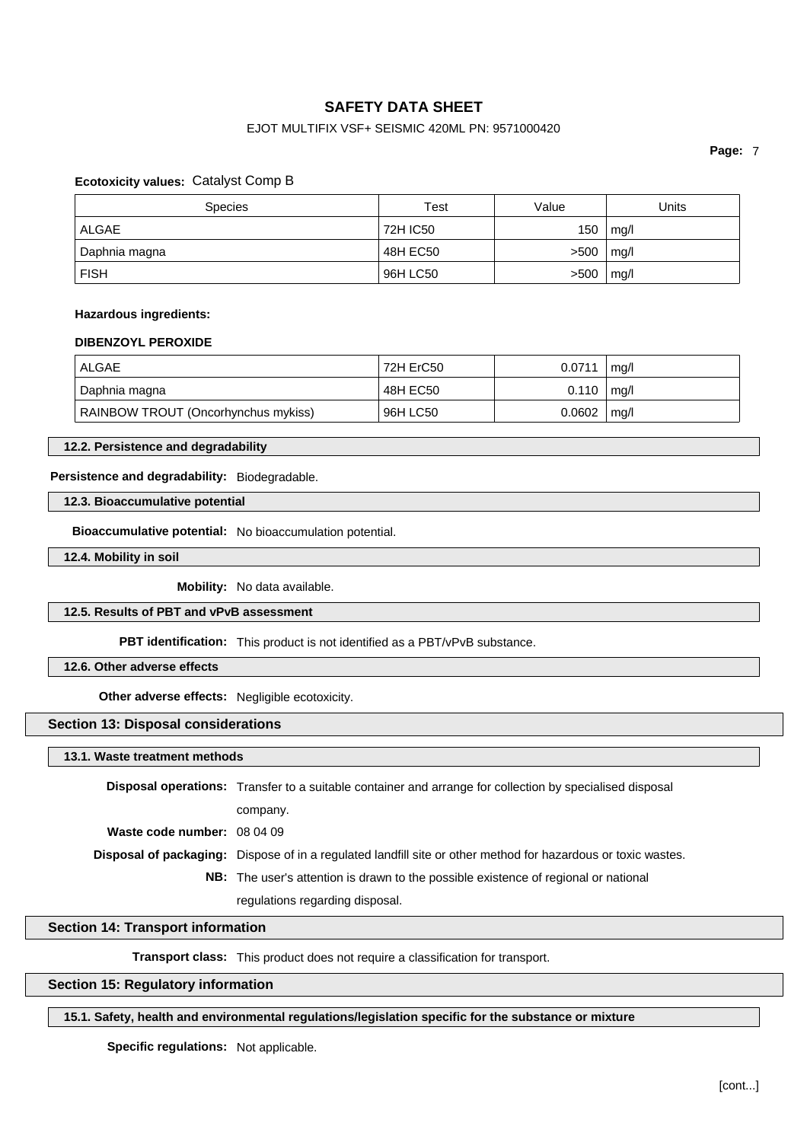# EJOT MULTIFIX VSF+ SEISMIC 420ML PN: 9571000420

**Page:** 7

## **Ecotoxicity values:** Catalyst Comp B

| <b>Species</b> | Test     | Value | Units |
|----------------|----------|-------|-------|
| ALGAE          | 72H IC50 | 150   | mg/l  |
| Daphnia magna  | 48H EC50 | >500  | mg/l  |
| <b>FISH</b>    | 96H LC50 | >500  | mq/l  |

## **Hazardous ingredients:**

#### **DIBENZOYL PEROXIDE**

| ALGAE                               | 72H ErC50 | 0.0711 | mq/l |
|-------------------------------------|-----------|--------|------|
| Daphnia magna                       | 48H EC50  | 0.110  | mg/l |
| RAINBOW TROUT (Oncorhynchus mykiss) | 96H LC50  | 0.0602 | mq/l |

## **12.2. Persistence and degradability**

# **Persistence and degradability:** Biodegradable.

## **12.3. Bioaccumulative potential**

**Bioaccumulative potential:** No bioaccumulation potential.

**12.4. Mobility in soil**

**Mobility:** No data available.

### **12.5. Results of PBT and vPvB assessment**

**PBT identification:** This product is not identified as a PBT/vPvB substance.

# **12.6. Other adverse effects**

**Other adverse effects:** Negligible ecotoxicity.

# **Section 13: Disposal considerations**

**13.1. Waste treatment methods**

|                             | <b>Disposal operations:</b> Transfer to a suitable container and arrange for collection by specialised disposal      |
|-----------------------------|----------------------------------------------------------------------------------------------------------------------|
|                             | company.                                                                                                             |
| Waste code number: 08 04 09 |                                                                                                                      |
|                             | <b>Disposal of packaging:</b> Dispose of in a regulated landfill site or other method for hazardous or toxic wastes. |
|                             | <b>NB:</b> The user's attention is drawn to the possible existence of regional or national                           |
|                             | regulations regarding disposal.                                                                                      |

# **Section 14: Transport information**

**Transport class:** This product does not require a classification for transport.

# **Section 15: Regulatory information**

#### **15.1. Safety, health and environmental regulations/legislation specific for the substance or mixture**

**Specific regulations:** Not applicable.